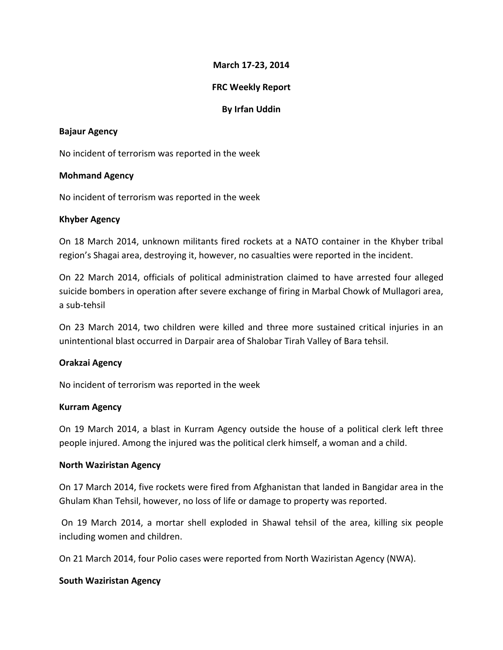# **March 17-23, 2014**

## **FRC Weekly Report**

## **By Irfan Uddin**

### **Bajaur Agency**

No incident of terrorism was reported in the week

### **Mohmand Agency**

No incident of terrorism was reported in the week

# **Khyber Agency**

On 18 March 2014, unknown militants fired rockets at a NATO container in the Khyber tribal region's Shagai area, destroying it, however, no casualties were reported in the incident.

On 22 March 2014, officials of political administration claimed to have arrested four alleged suicide bombers in operation after severe exchange of firing in Marbal Chowk of Mullagori area, a sub-tehsil

On 23 March 2014, two children were killed and three more sustained critical injuries in an unintentional blast occurred in Darpair area of Shalobar Tirah Valley of Bara tehsil.

# **Orakzai Agency**

No incident of terrorism was reported in the week

### **Kurram Agency**

On 19 March 2014, a blast in Kurram Agency outside the house of a political clerk left three people injured. Among the injured was the political clerk himself, a woman and a child.

### **North Waziristan Agency**

On 17 March 2014, five rockets were fired from Afghanistan that landed in Bangidar area in the Ghulam Khan Tehsil, however, no loss of life or damage to property was reported.

On 19 March 2014, a mortar shell exploded in Shawal tehsil of the area, killing six people including women and children.

On 21 March 2014, four Polio cases were reported from North Waziristan Agency (NWA).

### **South Waziristan Agency**